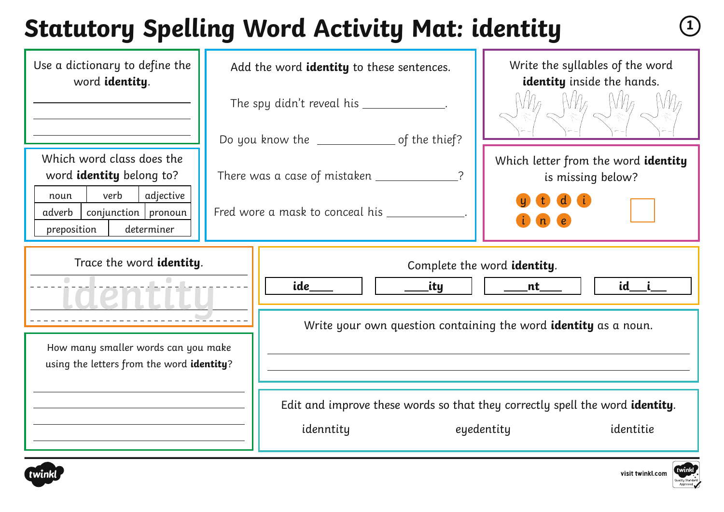# **Statutory Spelling Word Activity Mat: identity <sup>1</sup>**

| Use a dictionary to define the<br>word identity.                                   | Add the word identity to these sentences.       | Write the syllables of the word<br>identity inside the hands.                                                   |  |
|------------------------------------------------------------------------------------|-------------------------------------------------|-----------------------------------------------------------------------------------------------------------------|--|
|                                                                                    | The spy didn't reveal his __________            |                                                                                                                 |  |
|                                                                                    | Do you know the _________________ of the thief? |                                                                                                                 |  |
| Which word class does the<br>word identity belong to?<br>verb<br>adjective<br>noun | There was a case of mistaken _____________      | Which letter from the word identity<br>is missing below?                                                        |  |
| $conjunction$ pronoun<br>adverb<br>preposition<br>determiner                       | Fred wore a mask to conceal his ________        |                                                                                                                 |  |
| Trace the word identity.                                                           | ide<br>_ity                                     | Complete the word identity.<br>id___ i__<br>nt                                                                  |  |
|                                                                                    |                                                 | Write your own question containing the word <b>identity</b> as a noun.                                          |  |
| How many smaller words can you make<br>using the letters from the word identity?   |                                                 |                                                                                                                 |  |
|                                                                                    | idenntity                                       | Edit and improve these words so that they correctly spell the word <b>identity</b> .<br>identitie<br>eyedentity |  |



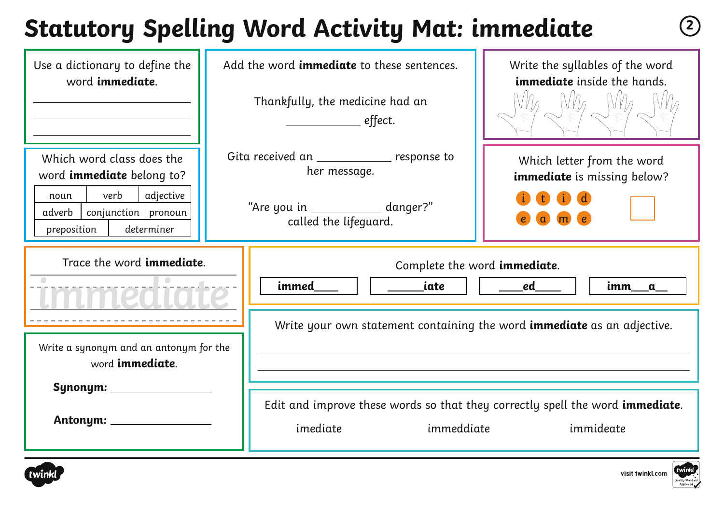# **Statutory Spelling Word Activity Mat: immediate <sup>2</sup>**

| Use a dictionary to define the<br>word immediate.                                                                                                          | Add the word <i>immediate</i> to these sentences.<br>Thankfully, the medicine had an<br>_______________ effect.            | Write the syllables of the word<br><b>immediate</b> inside the hands.          |
|------------------------------------------------------------------------------------------------------------------------------------------------------------|----------------------------------------------------------------------------------------------------------------------------|--------------------------------------------------------------------------------|
| Which word class does the<br>word <b>immediate</b> belong to?<br>verb<br>adjective<br>noun<br>$conjunction$ pronoun<br>adverb<br>determiner<br>preposition | Gita received an ______________ response to<br>her message.<br>"Are you in _____________ danger?"<br>called the lifeguard. | Which letter from the word<br><b>immediate</b> is missing below?               |
| Trace the word <b>immediate</b> .                                                                                                                          | immed<br>iate                                                                                                              | Complete the word immediate.<br>ed<br>imm<br>$\mathbf{a}$                      |
| Write a synonym and an antonym for the<br>word <b>immediate</b> .                                                                                          |                                                                                                                            | Write your own statement containing the word <b>immediate</b> as an adjective. |
|                                                                                                                                                            |                                                                                                                            | Edit and improve these words so that they correctly spell the word immediate.  |

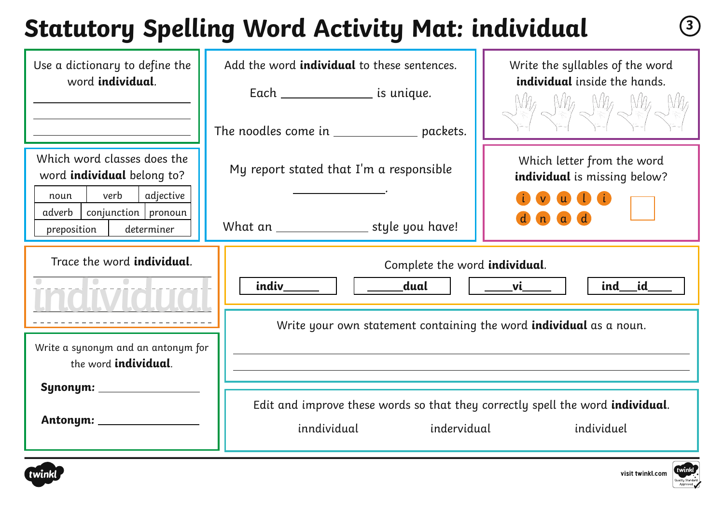# **Statutory Spelling Word Activity Mat: individual <sup>3</sup>**

| Use a dictionary to define the<br>word <b>individual</b> .                                                                                                      | Add the word <i>individual</i> to these sentences.<br>Each ____________________ is unique. | Write the syllables of the word<br>individual inside the hands.<br>$W\!A$ $W\!A$ $W\!A$ $W\!A$ $W\!A$ |  |
|-----------------------------------------------------------------------------------------------------------------------------------------------------------------|--------------------------------------------------------------------------------------------|-------------------------------------------------------------------------------------------------------|--|
|                                                                                                                                                                 | The noodles come in ___________________ packets.                                           |                                                                                                       |  |
| Which word classes does the<br>word <b>individual</b> belong to?<br>verb<br>adjective<br>noun<br>$conjunction$   pronoun<br>adverb<br>determiner<br>preposition | My report stated that I'm a responsible<br>What an ____________________ style you have!    | Which letter from the word<br>individual is missing below?<br><b>w D</b> <i>ti</i>                    |  |
| Trace the word <b>individual</b> .                                                                                                                              | Complete the word <i>individual</i> .<br>indiv<br>dual<br>id<br>ind<br>vi l                |                                                                                                       |  |
| $\overline{\phantom{a}}$                                                                                                                                        |                                                                                            |                                                                                                       |  |
| Write a synonym and an antonym for<br>the word <b>individual</b> .                                                                                              | Write your own statement containing the word <b>individual</b> as a noun.                  |                                                                                                       |  |



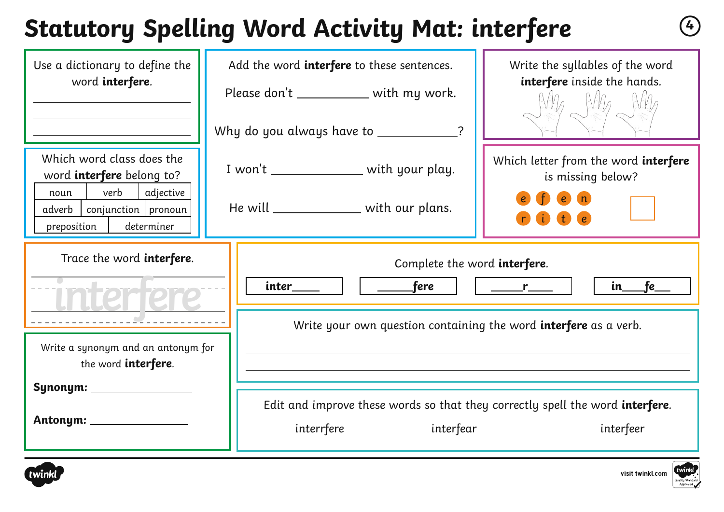# **Statutory Spelling Word Activity Mat: interfere <sup>4</sup>**

| Use a dictionary to define the<br>word interfere.                                                                                                            | Add the word interfere to these sentences.<br>Please don't ____________ with my work.                       | Write the syllables of the word<br>interfere inside the hands.                                          |  |  |
|--------------------------------------------------------------------------------------------------------------------------------------------------------------|-------------------------------------------------------------------------------------------------------------|---------------------------------------------------------------------------------------------------------|--|--|
|                                                                                                                                                              | Why do you always have to ___________                                                                       |                                                                                                         |  |  |
| Which word class does the<br>word <b>interfere</b> belong to?<br>verb<br>adjective<br>noun<br>conjunction   pronoun<br>adverb  <br>determiner<br>preposition | I won't _________________ with your play.<br>He will _______________ with our plans.                        | Which letter from the word interfere<br>is missing below?<br>e(n)<br>t                                  |  |  |
| Trace the word interfere.                                                                                                                                    | Complete the word <b>interfere</b> .<br>$\rule{1em}{0.15mm}$ fere<br>inter<br>in_fe_<br>$r$ and $r$ and $r$ |                                                                                                         |  |  |
| Write a synonym and an antonym for<br>the word <b>interfere</b> .                                                                                            | Write your own question containing the word <b>interfere</b> as a verb.                                     |                                                                                                         |  |  |
| Synonym: ____________                                                                                                                                        | interrfere                                                                                                  | Edit and improve these words so that they correctly spell the word interfere.<br>interfear<br>interfeer |  |  |